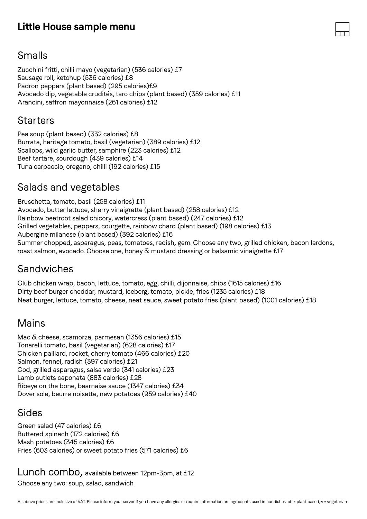## **Little House sample menu**

#### Smalls

Zucchini fritti, chilli mayo (vegetarian) (536 calories) £7 Sausage roll, ketchup (536 calories) £8 Padron peppers (plant based) (295 calories)£9 Avocado dip, vegetable crudités, taro chips (plant based) (359 calories) £11 Arancini, saffron mayonnaise (261 calories) £12

#### **Starters**

Pea soup (plant based) (332 calories) £8 Burrata, heritage tomato, basil (vegetarian) (389 calories) £12 Scallops, wild garlic butter, samphire (223 calories) £12 Beef tartare, sourdough (439 calories) £14 Tuna carpaccio, oregano, chilli (192 calories) £15

# Salads and vegetables

Bruschetta, tomato, basil (258 calories) £11 Avocado, butter lettuce, sherry vinaigrette (plant based) (258 calories) £12 Rainbow beetroot salad chicory, watercress (plant based) (247 calories) £12 Grilled vegetables, peppers, courgette, rainbow chard (plant based) (198 calories) £13 Aubergine milanese (plant based) (392 calories) £16 Summer chopped, asparagus, peas, tomatoes, radish, gem. Choose any two, grilled chicken, bacon lardons, roast salmon, avocado. Choose one, honey & mustard dressing or balsamic vinaigrette £17

### Sandwiches

Club chicken wrap, bacon, lettuce, tomato, egg, chilli, dijonnaise, chips (1615 calories) £16 Dirty beef burger cheddar, mustard, iceberg, tomato, pickle, fries (1235 calories) £18 Neat burger, lettuce, tomato, cheese, neat sauce, sweet potato fries (plant based) (1001 calories) £18

### Mains

Mac & cheese, scamorza, parmesan (1356 calories) £15 Tonarelli tomato, basil (vegetarian) (628 calories) £17 Chicken paillard, rocket, cherry tomato (466 calories) £20 Salmon, fennel, radish (397 calories) £21 Cod, grilled asparagus, salsa verde (341 calories) £23 Lamb cutlets caponata (883 calories) £28 Ribeye on the bone, bearnaise sauce (1347 calories) £34 Dover sole, beurre noisette, new potatoes (959 calories) £40

#### Sides

Green salad (47 calories) £6 Buttered spinach (172 calories) £6 Mash potatoes (345 calories) £6 Fries (603 calories) or sweet potato fries (571 calories) £6

Lunch combo, available between 12pm-3pm, at £12 Choose any two: soup, salad, sandwich